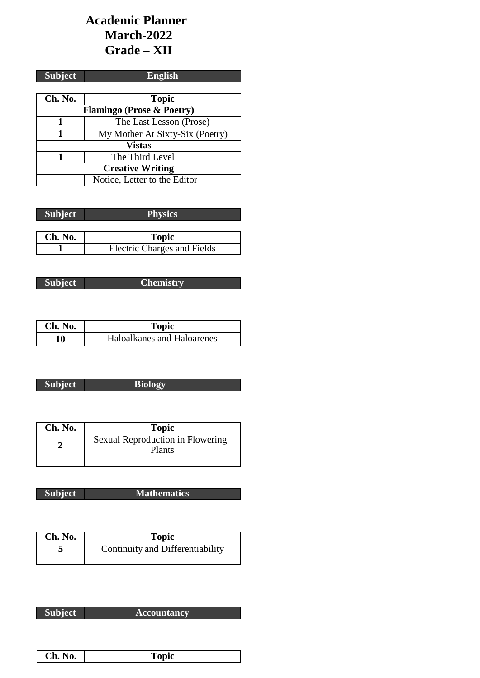# **Academic Planner March-2022 Grade – XII**

| <b>Subject</b>          | <b>English</b>                       |  |
|-------------------------|--------------------------------------|--|
|                         |                                      |  |
| Ch. No.                 | <b>Topic</b>                         |  |
|                         | <b>Flamingo (Prose &amp; Poetry)</b> |  |
|                         | The Last Lesson (Prose)              |  |
| 1                       | My Mother At Sixty-Six (Poetry)      |  |
| <b>Vistas</b>           |                                      |  |
|                         | The Third Level                      |  |
| <b>Creative Writing</b> |                                      |  |
|                         | Notice, Letter to the Editor         |  |

| <b>Subject</b> | <b>Physics</b>                     |
|----------------|------------------------------------|
|                |                                    |
| Ch. No.        | <b>Topic</b>                       |
|                | <b>Electric Charges and Fields</b> |

| <b>Subject</b> |
|----------------|
|                |

**Subject Chemistry**

| Ch. No. | Topic                      |
|---------|----------------------------|
| 10      | Haloalkanes and Haloarenes |

| <b>Subject</b> | <b>Biology</b> |
|----------------|----------------|
|                |                |

| Ch. No. | <b>Topic</b>                                      |
|---------|---------------------------------------------------|
|         | Sexual Reproduction in Flowering<br><b>Plants</b> |

| <b>Subject</b> | <b>Mathematics</b> |
|----------------|--------------------|

| Ch. No. | <b>Topic</b>                     |
|---------|----------------------------------|
|         | Continuity and Differentiability |

| <b>Subject</b> | <b>Accountancy</b> |
|----------------|--------------------|

| Ch.<br>INU. | opic |
|-------------|------|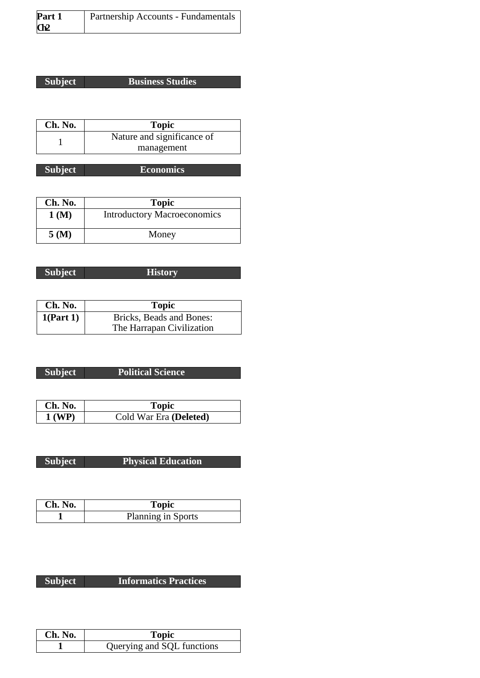| Part 1          | <b>Partnership Accounts - Fundamentals</b> |
|-----------------|--------------------------------------------|
| Q <sub>12</sub> |                                            |

## **Subject Business Studies**

| Ch. No. | <b>Topic</b>               |
|---------|----------------------------|
|         | Nature and significance of |
|         | management                 |

| <b>Subject</b> | Economics |
|----------------|-----------|

| Ch. No. | <b>Topic</b>                       |
|---------|------------------------------------|
| 1(M)    | <b>Introductory Macroeconomics</b> |
| 5(M)    | Money                              |

**Subject History**

| Ch. No.   | <b>Topic</b>              |
|-----------|---------------------------|
| 1(Part 1) | Bricks, Beads and Bones:  |
|           | The Harrapan Civilization |

## **Subject Political Science**

| Ch. No.  | Topic                  |
|----------|------------------------|
| $1$ (WP) | Cold War Era (Deleted) |

| <b>Subject</b> |
|----------------|
|                |

**Physical Education** 

| Ch. No. | Topic                     |
|---------|---------------------------|
|         | <b>Planning in Sports</b> |

| Ch. No. | <b>Topic</b>               |
|---------|----------------------------|
|         | Querying and SQL functions |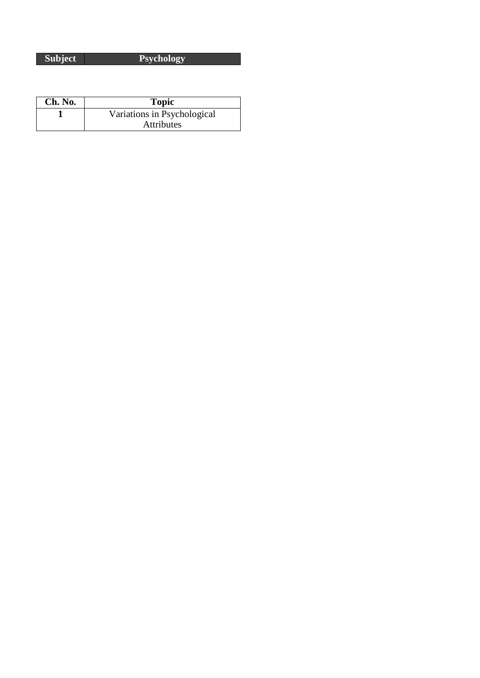**Subject Psychology**

| Ch. No. | <b>Topic</b>                |
|---------|-----------------------------|
|         | Variations in Psychological |
|         | <b>Attributes</b>           |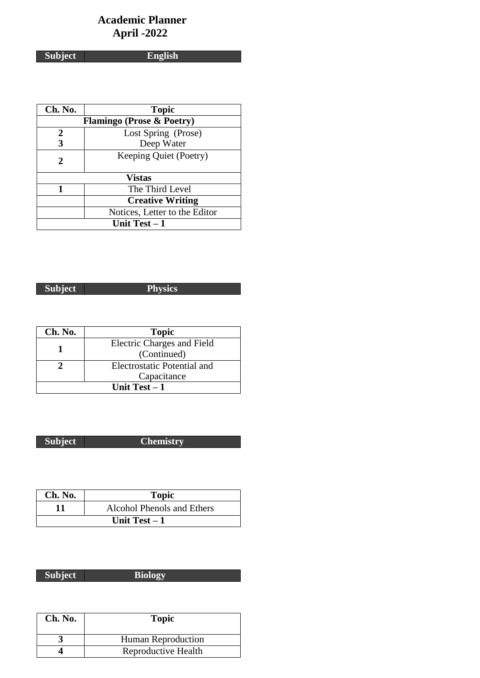# **Academic Planner April -2022**

**Subject English**

| Ch. No.        | <b>Topic</b>                         |  |
|----------------|--------------------------------------|--|
|                | <b>Flamingo (Prose &amp; Poetry)</b> |  |
| 2              | Lost Spring (Prose)                  |  |
| 3              | Deep Water                           |  |
| 2              | Keeping Quiet (Poetry)               |  |
|                |                                      |  |
|                | <b>Vistas</b>                        |  |
|                | The Third Level                      |  |
|                | <b>Creative Writing</b>              |  |
|                | Notices, Letter to the Editor        |  |
| Unit Test $-1$ |                                      |  |

**Subject Physics** 

| Ch. No.        | <b>Topic</b>                |
|----------------|-----------------------------|
|                | Electric Charges and Field  |
|                | (Continued)                 |
|                | Electrostatic Potential and |
|                | Capacitance                 |
| Unit Test $-1$ |                             |

**Subject Chemistry**

| Ch. No.        | <b>Topic</b>               |
|----------------|----------------------------|
| 11             | Alcohol Phenols and Ethers |
| Unit Test $-1$ |                            |

| <b>Subject</b> | <b>Riology</b> |
|----------------|----------------|

| Ch. No. | <b>Topic</b>        |
|---------|---------------------|
|         | Human Reproduction  |
|         | Reproductive Health |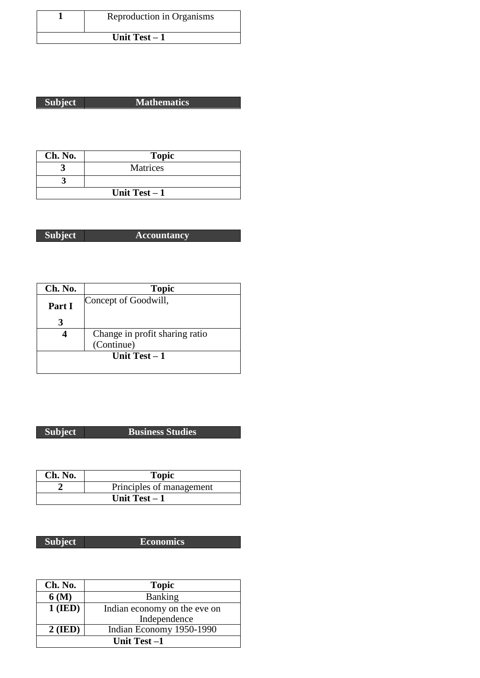| Reproduction in Organisms |
|---------------------------|
| Unit Test $-1$            |

| <b>Subject</b> | <b>Mathematics</b> |
|----------------|--------------------|

٦

| Ch. No.        | <b>Topic</b>    |
|----------------|-----------------|
|                | <b>Matrices</b> |
|                |                 |
| Unit Test $-1$ |                 |

| <b>Subject</b> | <b>Accountancy</b> |
|----------------|--------------------|

| Ch. No. | <b>Topic</b>                   |
|---------|--------------------------------|
| Part I  | Concept of Goodwill,           |
|         |                                |
|         | Change in profit sharing ratio |
|         | (Continue)                     |
|         | Unit Test $-1$                 |
|         |                                |

**Subject Business Studies**

| Ch. No. | <b>Topic</b>             |
|---------|--------------------------|
|         | Principles of management |
|         | Unit Test $-1$           |

**Subject Economics**

| Ch. No.     | <b>Topic</b>                 |
|-------------|------------------------------|
| 6 (M)       | <b>Banking</b>               |
| $1$ (IED)   | Indian economy on the eve on |
|             | Independence                 |
| $2$ (IED)   | Indian Economy 1950-1990     |
| Unit Test-1 |                              |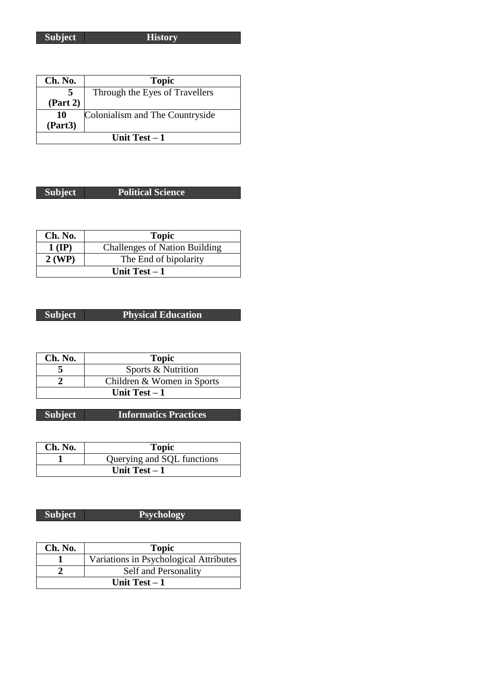**Subject History**

| Ch. No.        | <b>Topic</b>                    |
|----------------|---------------------------------|
| 5              | Through the Eyes of Travellers  |
| (Part 2)       |                                 |
| 10             | Colonialism and The Countryside |
| (Part3)        |                                 |
| Unit Test $-1$ |                                 |

### **Subject Political Science**

| Ch. No.        | <b>Topic</b>                         |
|----------------|--------------------------------------|
| $1$ (IP)       | <b>Challenges of Nation Building</b> |
| 2 (WP)         | The End of bipolarity                |
| Unit Test $-1$ |                                      |

**Subject Physical Education**

| Ch. No. | <b>Topic</b>               |
|---------|----------------------------|
|         | Sports & Nutrition         |
|         | Children & Women in Sports |
|         | Unit Test $-1$             |

**Subject Informatics Practices**

| Ch. No.        | <b>Topic</b>               |
|----------------|----------------------------|
|                | Querying and SQL functions |
| Unit Test $-1$ |                            |

### **Subject Psychology**

| Ch. No. | <b>Topic</b>                           |
|---------|----------------------------------------|
|         | Variations in Psychological Attributes |
|         | Self and Personality                   |
|         | Unit Test $-1$                         |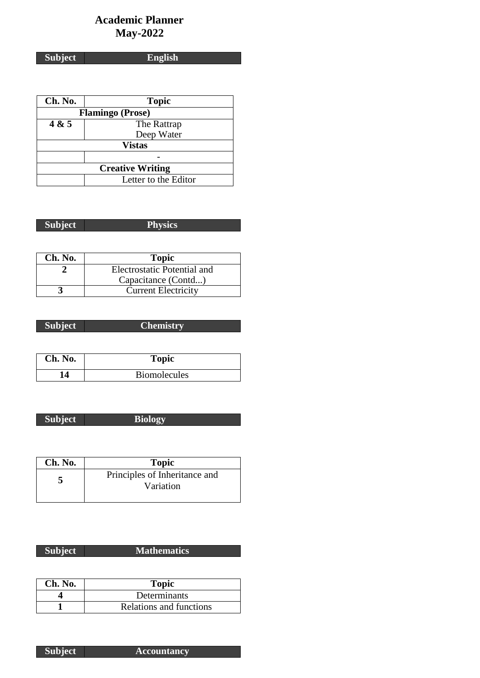# **Academic Planner May-2022**

**Subject English**

| Ch. No. | <b>Topic</b>            |
|---------|-------------------------|
|         | <b>Flamingo</b> (Prose) |
| 4 & 5   | The Rattrap             |
|         | Deep Water              |
|         | <b>Vistas</b>           |
|         |                         |
|         | <b>Creative Writing</b> |
|         | Letter to the Editor    |

| <b>Subject</b><br>20 VS 68 |  |
|----------------------------|--|
|                            |  |
|                            |  |
|                            |  |

| Ch. No. | <b>Topic</b>                |
|---------|-----------------------------|
|         | Electrostatic Potential and |
|         | Capacitance (Contd)         |
|         | <b>Current Electricity</b>  |

| <b>Subject</b> | 'Chemistry |
|----------------|------------|
|                |            |
|                |            |

| Ch. No. | <b>Topic</b>        |
|---------|---------------------|
| 14      | <b>Biomolecules</b> |

| L |
|---|
|---|

**Subject Biology** 

| Ch. No. | <b>Topic</b>                               |
|---------|--------------------------------------------|
|         | Principles of Inheritance and<br>Variation |

| <b>Subject</b> | <b>Mathematics</b> |
|----------------|--------------------|
|                |                    |

| Ch. No. | <b>Topic</b>            |
|---------|-------------------------|
|         | Determinants            |
|         | Relations and functions |

**Subject Accountancy**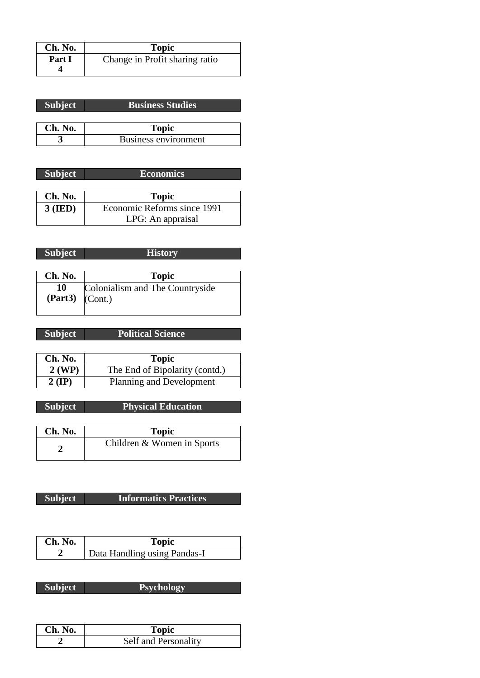| Ch. No. | <b>Topic</b>                   |
|---------|--------------------------------|
| Part I  | Change in Profit sharing ratio |
|         |                                |

| <b>Subject</b> | <b>Business Studies</b> |
|----------------|-------------------------|
|                |                         |
|                |                         |
| Ch. No.        | <b>Topic</b>            |

| <b>Subject</b> | <b>Economics</b>            |
|----------------|-----------------------------|
|                |                             |
| Ch. No.        | <b>Topic</b>                |
| $3$ (IED)      | Economic Reforms since 1991 |
|                | LPG: An appraisal           |

| <b>Subject</b>            | <b>History</b>                  |
|---------------------------|---------------------------------|
|                           |                                 |
| Ch. No.                   | <b>Topic</b>                    |
| 10<br>$(Part3)$ $(Cont.)$ | Colonialism and The Countryside |

| Subject | <b>Political Science</b> |
|---------|--------------------------|
|         |                          |

| Ch. No.  | <b>Topic</b>                   |
|----------|--------------------------------|
| $2$ (WP) | The End of Bipolarity (contd.) |
| $2$ (IP) | Planning and Development       |

| <b>Subject</b> | <b>Physical Education</b> |
|----------------|---------------------------|
|                |                           |

| Ch. No. | <b>Topic</b>               |
|---------|----------------------------|
|         | Children & Women in Sports |

| Ch. No. | Topic                        |
|---------|------------------------------|
|         | Data Handling using Pandas-I |

| <b>Subject</b> | <b>Psychology</b> |
|----------------|-------------------|
|                |                   |

| Ch. No. | Topic                |
|---------|----------------------|
|         | Self and Personality |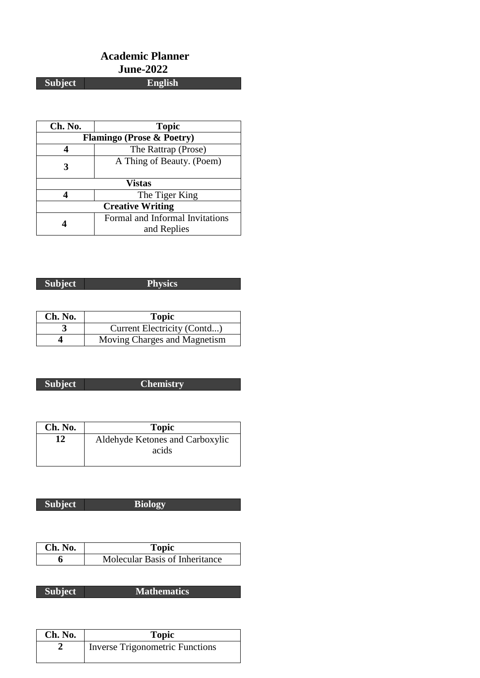## **Academic Planner June-2022 Subject**

| Ch. No.                              | <b>Topic</b>                                   |  |
|--------------------------------------|------------------------------------------------|--|
| <b>Flamingo (Prose &amp; Poetry)</b> |                                                |  |
|                                      | The Rattrap (Prose)                            |  |
|                                      | A Thing of Beauty. (Poem)                      |  |
| <b>Vistas</b>                        |                                                |  |
|                                      | The Tiger King                                 |  |
| <b>Creative Writing</b>              |                                                |  |
|                                      | Formal and Informal Invitations<br>and Replies |  |

**Subject Physics**

| Ch. No. | <b>Topic</b>                 |
|---------|------------------------------|
|         | Current Electricity (Contd)  |
|         | Moving Charges and Magnetism |

**Subject Chemistry**

| Ch. No. | <b>Topic</b>                    |
|---------|---------------------------------|
| 12      | Aldehyde Ketones and Carboxylic |
|         | acids                           |
|         |                                 |

| Subject | <b>Biology</b> |
|---------|----------------|
|         |                |

| Ch. No. | Topic                          |
|---------|--------------------------------|
|         | Molecular Basis of Inheritance |

**Subject M** 

| Iathematics |
|-------------|
|-------------|

| Ch. No. | <b>Topic</b>                           |
|---------|----------------------------------------|
|         | <b>Inverse Trigonometric Functions</b> |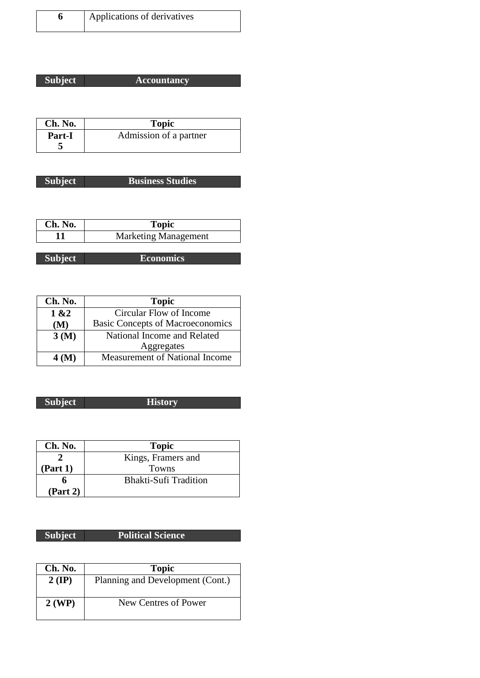| Applications of derivatives |
|-----------------------------|
|-----------------------------|

| <b>Subject</b> | <b>Accountancy</b> |
|----------------|--------------------|
|                |                    |

| Ch. No.       | <b>Topic</b>           |
|---------------|------------------------|
| <b>Part-I</b> | Admission of a partner |
|               |                        |

| <b>Subject</b> | <b>Business Studies</b> |
|----------------|-------------------------|

| Ch. No. | Topic                       |
|---------|-----------------------------|
|         | <b>Marketing Management</b> |

| <b>Subject</b> | <b>Economics</b> |
|----------------|------------------|

| Ch. No. | <b>Topic</b>                            |
|---------|-----------------------------------------|
| 1 & 2   | Circular Flow of Income                 |
| (M)     | <b>Basic Concepts of Macroeconomics</b> |
| 3(M)    | National Income and Related             |
|         | Aggregates                              |
| 4(M)    | Measurement of National Income          |

### **Subject History**

| Ch. No.  | <b>Topic</b>                 |
|----------|------------------------------|
|          | Kings, Framers and           |
| (Part 1) | <b>Towns</b>                 |
|          | <b>Bhakti-Sufi Tradition</b> |
| (Part 2) |                              |

# **Subject Political Science**

| Ch. No.  | <b>Topic</b>                     |
|----------|----------------------------------|
| $2$ (IP) | Planning and Development (Cont.) |
| $2$ (WP) | New Centres of Power             |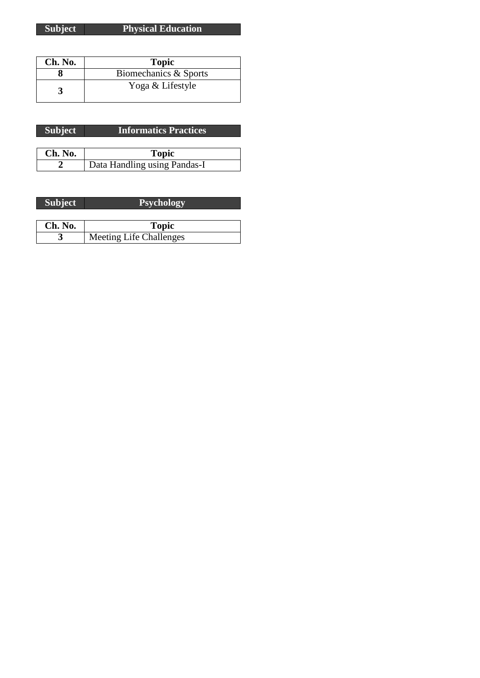**Subject Physical Education**

| Ch. No. | <b>Topic</b>          |
|---------|-----------------------|
|         | Biomechanics & Sports |
|         | Yoga & Lifestyle      |

| Subject <sup>1</sup> | <b>Informatics Practices</b> |
|----------------------|------------------------------|
|                      |                              |
| Ch. No.              | <b>Topic</b>                 |
|                      | Data Handling using Pandas-I |

| <b>Subject</b> | <b>Psychology</b>              |
|----------------|--------------------------------|
|                |                                |
| Ch. No.        | <b>Topic</b>                   |
|                | <b>Meeting Life Challenges</b> |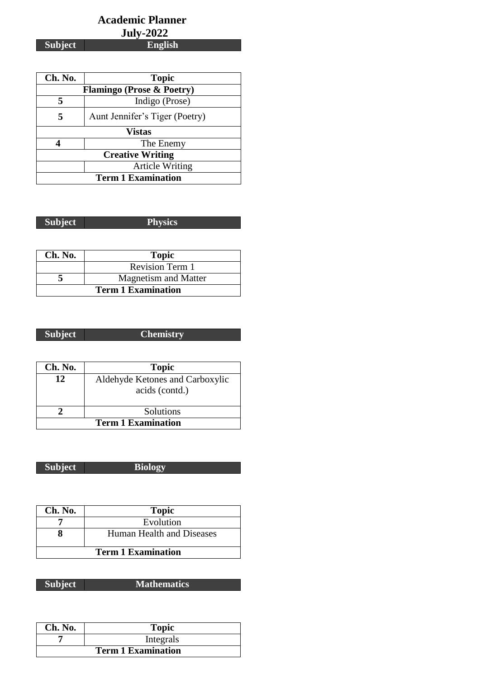### **Academic Planner July-2022 Subject English**

 $\overline{\phantom{a}}$ 

| Ch. No.                              | <b>Topic</b>                   |
|--------------------------------------|--------------------------------|
| <b>Flamingo (Prose &amp; Poetry)</b> |                                |
|                                      | Indigo (Prose)                 |
| 5                                    | Aunt Jennifer's Tiger (Poetry) |
| <b>Vistas</b>                        |                                |
|                                      | The Enemy                      |
| <b>Creative Writing</b>              |                                |
|                                      | <b>Article Writing</b>         |
| <b>Term 1 Examination</b>            |                                |

| Subject | <b>Physics</b><br><u>the company of the company of the company of the company of the company of the company of the company of the company of the company of the company of the company of the company of the company of the company of the company</u> |
|---------|--------------------------------------------------------------------------------------------------------------------------------------------------------------------------------------------------------------------------------------------------------|

٦

| Ch. No.                   | <b>Topic</b>                |
|---------------------------|-----------------------------|
|                           | <b>Revision Term 1</b>      |
|                           | <b>Magnetism and Matter</b> |
| <b>Term 1 Examination</b> |                             |

| Subject | <b>Chemistry</b> |
|---------|------------------|
|         |                  |

| Ch. No.                   | <b>Topic</b>                    |
|---------------------------|---------------------------------|
| 12                        | Aldehyde Ketones and Carboxylic |
|                           | acids (contd.)                  |
|                           | Solutions                       |
| <b>Term 1 Examination</b> |                                 |

| Subject | <b>Biology</b> |
|---------|----------------|

| Ch. No.                   | <b>Topic</b>              |
|---------------------------|---------------------------|
|                           | Evolution                 |
|                           | Human Health and Diseases |
| <b>Term 1 Examination</b> |                           |

| <b>Subject</b> | <b>Mathematics</b> |
|----------------|--------------------|

| Ch. No.                   | <b>Topic</b> |
|---------------------------|--------------|
|                           | Integrals    |
| <b>Term 1 Examination</b> |              |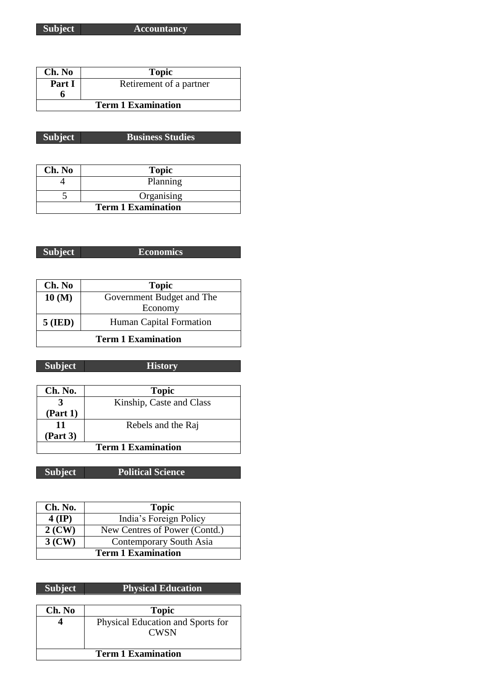**Subject Accountancy**

| Ch. No                    | <b>Topic</b>            |
|---------------------------|-------------------------|
| Part I                    | Retirement of a partner |
|                           |                         |
| <b>Term 1 Examination</b> |                         |

| <b>Business Studies</b><br>Subject |  |
|------------------------------------|--|
|------------------------------------|--|

| Ch. No                    | <b>Topic</b> |
|---------------------------|--------------|
|                           | Planning     |
|                           | Organising   |
| <b>Term 1 Examination</b> |              |

**Subject Economics**

| Ch. No                    | <b>Topic</b>              |
|---------------------------|---------------------------|
| 10(M)                     | Government Budget and The |
|                           | Economy                   |
| $5$ (IED)                 | Human Capital Formation   |
| <b>Term 1 Examination</b> |                           |

**Subject History**

| Ch. No.                   | <b>Topic</b>             |
|---------------------------|--------------------------|
|                           | Kinship, Caste and Class |
| (Part 1)                  |                          |
| 11                        | Rebels and the Raj       |
| (Part 3)                  |                          |
| <b>Term 1 Examination</b> |                          |

**Subject Political Science**

| Ch. No.  | <b>Topic</b>                  |
|----------|-------------------------------|
| $4$ (IP) | India's Foreign Policy        |
| $2$ (CW) | New Centres of Power (Contd.) |
| $3$ (CW) | Contemporary South Asia       |
|          | <b>Term 1 Examination</b>     |

# **Subject Physical Education**

| Ch. No                    | <b>Topic</b>                                     |
|---------------------------|--------------------------------------------------|
|                           | Physical Education and Sports for<br><b>CWSN</b> |
| <b>Term 1 Examination</b> |                                                  |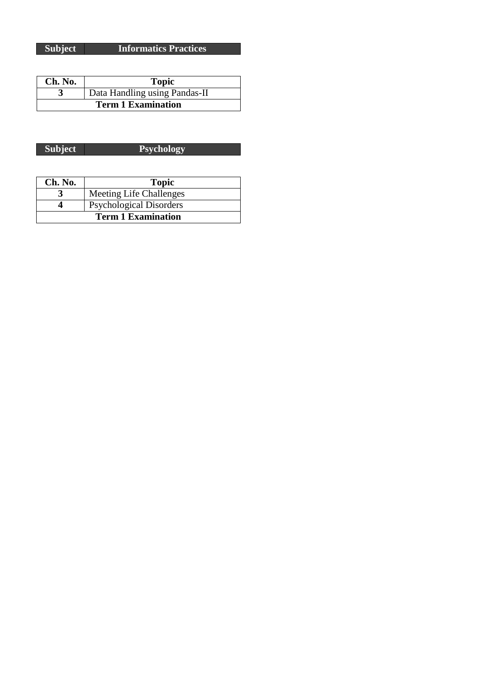| Ch. No.                   | <b>Topic</b>                  |
|---------------------------|-------------------------------|
|                           | Data Handling using Pandas-II |
| <b>Term 1 Examination</b> |                               |

| Subject | <b>Psychology</b> |
|---------|-------------------|
|         |                   |

| Ch. No.                   | <b>Topic</b>                   |
|---------------------------|--------------------------------|
|                           | <b>Meeting Life Challenges</b> |
|                           | <b>Psychological Disorders</b> |
| <b>Term 1 Examination</b> |                                |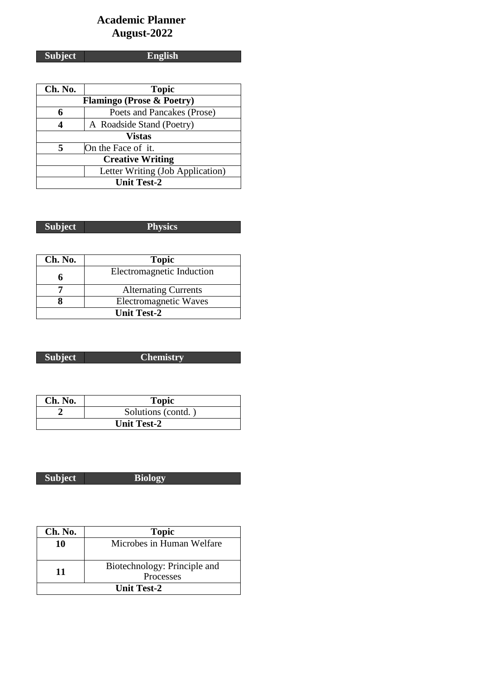# **Academic Planner August-2022**

**Subject English**

| Ch. No.                              | <b>Topic</b>               |  |
|--------------------------------------|----------------------------|--|
| <b>Flamingo (Prose &amp; Poetry)</b> |                            |  |
| 6                                    | Poets and Pancakes (Prose) |  |
| 4                                    | A Roadside Stand (Poetry)  |  |
| <b>Vistas</b>                        |                            |  |
| 5                                    | On the Face of it.         |  |
| <b>Creative Writing</b>              |                            |  |
| Letter Writing (Job Application)     |                            |  |
| <b>Unit Test-2</b>                   |                            |  |

| Subiect         | and the second contract of the contract of |
|-----------------|--------------------------------------------|
| $v_{\rm max,1}$ | <u>________</u>                            |

| Ch. No.            | <b>Topic</b>                 |
|--------------------|------------------------------|
|                    | Electromagnetic Induction    |
|                    | <b>Alternating Currents</b>  |
|                    | <b>Electromagnetic Waves</b> |
| <b>Unit Test-2</b> |                              |

| <b>Subject</b> | <b>Chemistry</b> |
|----------------|------------------|

| Ch. No.            | <b>Topic</b>       |
|--------------------|--------------------|
|                    | Solutions (contd.) |
| <b>Unit Test-2</b> |                    |

| <b>Subject</b> | Biology |
|----------------|---------|

I

| Ch. No.     | <b>Topic</b>                              |
|-------------|-------------------------------------------|
| 10          | Microbes in Human Welfare                 |
| 11          | Biotechnology: Principle and<br>Processes |
| Unit Test-2 |                                           |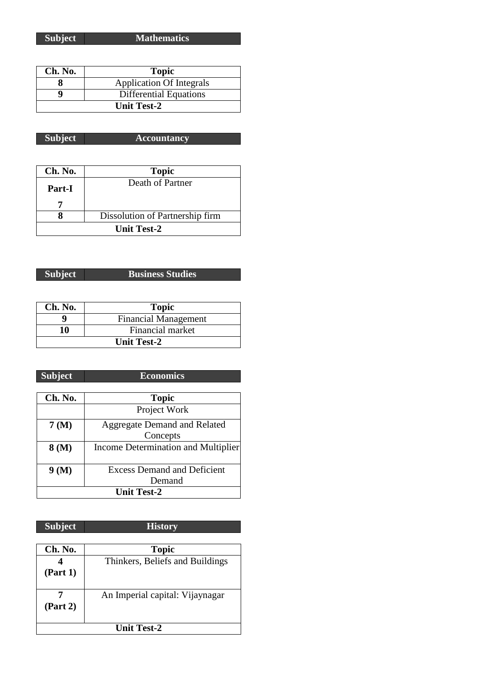**Subject Mathematics**

| Ch. No.            | <b>Topic</b>                    |
|--------------------|---------------------------------|
|                    | <b>Application Of Integrals</b> |
|                    | <b>Differential Equations</b>   |
| <b>Unit Test-2</b> |                                 |

| <b>Subject</b> | <b>Accountancy</b> |
|----------------|--------------------|
|----------------|--------------------|

| Ch. No.       | <b>Topic</b>                    |
|---------------|---------------------------------|
| <b>Part-I</b> | Death of Partner                |
|               |                                 |
|               | Dissolution of Partnership firm |
| Unit Test-2   |                                 |

## **Subject Business Studies**

| Ch. No.            | <b>Topic</b>                |
|--------------------|-----------------------------|
|                    | <b>Financial Management</b> |
| 10                 | Financial market            |
| <b>Unit Test-2</b> |                             |

| <b>Subject</b>     | <b>Economics</b>                    |
|--------------------|-------------------------------------|
|                    |                                     |
| Ch. No.            | <b>Topic</b>                        |
|                    | Project Work                        |
| 7 (M)              | <b>Aggregate Demand and Related</b> |
|                    | Concepts                            |
| 8 (M)              | Income Determination and Multiplier |
|                    |                                     |
| 9(M)               | <b>Excess Demand and Deficient</b>  |
|                    | Demand                              |
| <b>Unit Test-2</b> |                                     |

| Ch. No.     | <b>Topic</b>                    |
|-------------|---------------------------------|
|             | Thinkers, Beliefs and Buildings |
| (Part 1)    |                                 |
|             |                                 |
|             | An Imperial capital: Vijaynagar |
| (Part 2)    |                                 |
|             |                                 |
| Unit Test-2 |                                 |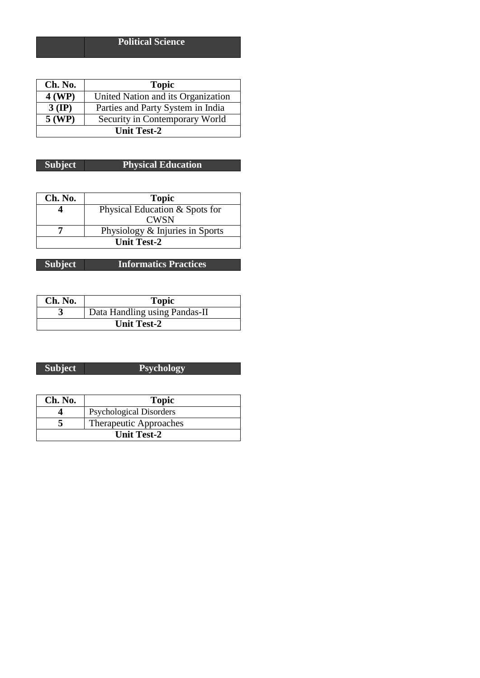| Ch. No.            | <b>Topic</b>                       |
|--------------------|------------------------------------|
| 4 (WP)             | United Nation and its Organization |
| $3$ (IP)           | Parties and Party System in India  |
| $5$ (WP)           | Security in Contemporary World     |
| <b>Unit Test-2</b> |                                    |

### **Subject Physical Education**

| Ch. No.            | <b>Topic</b>                    |
|--------------------|---------------------------------|
|                    | Physical Education & Spots for  |
|                    | <b>CWSN</b>                     |
|                    | Physiology & Injuries in Sports |
| <b>Unit Test-2</b> |                                 |

| Ch. No.            | <b>Topic</b>                  |
|--------------------|-------------------------------|
|                    | Data Handling using Pandas-II |
| <b>Unit Test-2</b> |                               |

| <b>Subject</b> | <b>Psychology</b> |
|----------------|-------------------|

| Ch. No.            | <b>Topic</b>                   |
|--------------------|--------------------------------|
|                    | <b>Psychological Disorders</b> |
|                    | <b>Therapeutic Approaches</b>  |
| <b>Unit Test-2</b> |                                |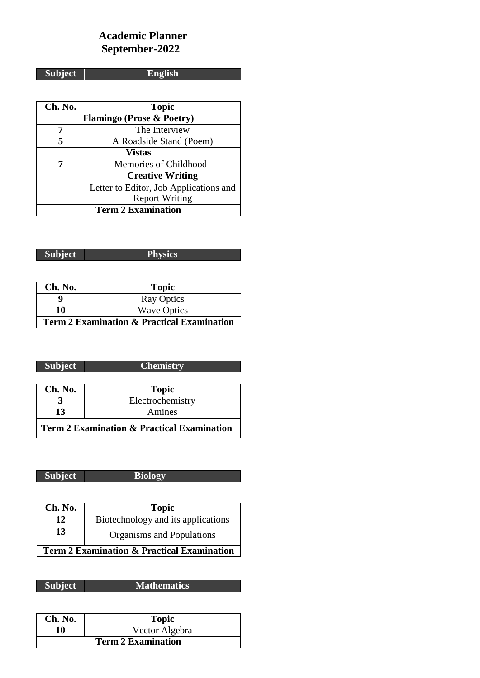## **Academic Planner September-2022**

**Subject English**

| Ch. No.                              | <b>Topic</b>                           |
|--------------------------------------|----------------------------------------|
| <b>Flamingo (Prose &amp; Poetry)</b> |                                        |
| 7                                    | The Interview                          |
| 5                                    | A Roadside Stand (Poem)                |
| <b>Vistas</b>                        |                                        |
|                                      | Memories of Childhood                  |
|                                      | <b>Creative Writing</b>                |
|                                      | Letter to Editor, Job Applications and |
|                                      | <b>Report Writing</b>                  |
| <b>Term 2 Examination</b>            |                                        |

| <b>Subject</b> | <b>Physics</b> |
|----------------|----------------|

| Ch. No.                                               | <b>Topic</b>       |
|-------------------------------------------------------|--------------------|
|                                                       | <b>Ray Optics</b>  |
| 10                                                    | <b>Wave Optics</b> |
| <b>Term 2 Examination &amp; Practical Examination</b> |                    |

| <b>Subject</b> | <b>Chemistry</b> |
|----------------|------------------|
|                |                  |
| Ch. No.        | <b>Topic</b>     |
|                | Electrochemistry |
| 13             | Amines           |

**Term 2 Examination & Practical Examination**

| <b>Subject</b> | <b>Biology</b> |
|----------------|----------------|
|                |                |

I

Γ

| Ch. No.                                               | <b>Topic</b>                       |
|-------------------------------------------------------|------------------------------------|
| 12                                                    | Biotechnology and its applications |
| 13                                                    | Organisms and Populations          |
| <b>Term 2 Examination &amp; Practical Examination</b> |                                    |

|         | <b>Mathematics</b> |
|---------|--------------------|
| Subject |                    |

| Ch. No.                   | <b>Topic</b>   |
|---------------------------|----------------|
| 10                        | Vector Algebra |
| <b>Term 2 Examination</b> |                |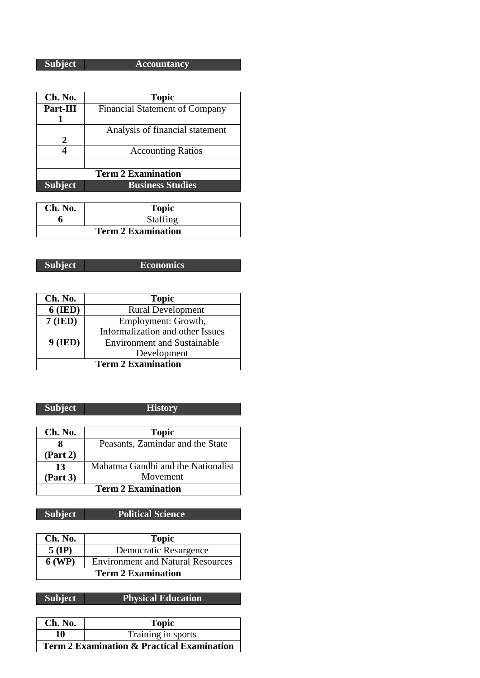**Subject Accountancy**

| Ch. No.                   | <b>Topic</b>                          |
|---------------------------|---------------------------------------|
| Part-III                  | <b>Financial Statement of Company</b> |
|                           |                                       |
|                           | Analysis of financial statement       |
| 2                         |                                       |
|                           | <b>Accounting Ratios</b>              |
|                           |                                       |
| <b>Term 2 Examination</b> |                                       |
| <b>Subject</b>            | <b>Business Studies</b>               |

| Ch. No.                   | <b>Topic</b>    |
|---------------------------|-----------------|
|                           | <b>Staffing</b> |
| <b>Term 2 Examination</b> |                 |

| and interesting and<br>ST<br>. | 'Economics |
|--------------------------------|------------|

| Ch. No.                   | <b>Topic</b>                       |
|---------------------------|------------------------------------|
| $6$ (IED)                 | <b>Rural Development</b>           |
| $7$ (IED)                 | Employment: Growth,                |
|                           | Informalization and other Issues   |
| $9$ (IED)                 | <b>Environment and Sustainable</b> |
|                           | Development                        |
| <b>Term 2 Examination</b> |                                    |

| <b>Subject</b>            | <b>History</b>                     |
|---------------------------|------------------------------------|
|                           |                                    |
| Ch. No.                   | <b>Topic</b>                       |
|                           | Peasants, Zamindar and the State   |
| (Part 2)                  |                                    |
| 13                        | Mahatma Gandhi and the Nationalist |
| (Part 3)                  | Movement                           |
| <b>Term 2 Examination</b> |                                    |

# **Subject Political Science**

| Ch. No.                   | <b>Topic</b>                             |
|---------------------------|------------------------------------------|
| $5$ (IP)                  | Democratic Resurgence                    |
| <b>6 (WP)</b>             | <b>Environment and Natural Resources</b> |
| <b>Term 2 Examination</b> |                                          |

**Subject Physical Education**

| Ch. No.                                               | <b>Topic</b>       |
|-------------------------------------------------------|--------------------|
| 10                                                    | Training in sports |
| <b>Term 2 Examination &amp; Practical Examination</b> |                    |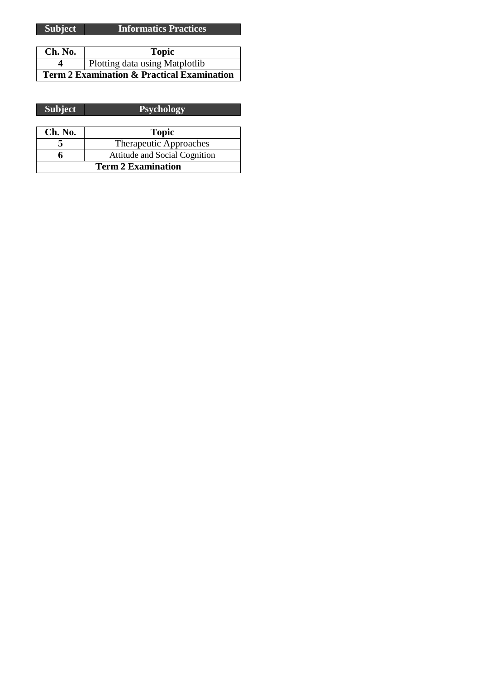| Ch. No.                                               | <b>Topic</b>                   |
|-------------------------------------------------------|--------------------------------|
|                                                       | Plotting data using Matplotlib |
| <b>Term 2 Examination &amp; Practical Examination</b> |                                |

| <b>Subject</b>            | <b>Psychology</b>                    |
|---------------------------|--------------------------------------|
|                           |                                      |
| Ch. No.                   | <b>Topic</b>                         |
|                           | Therapeutic Approaches               |
|                           | <b>Attitude and Social Cognition</b> |
| <b>Term 2 Examination</b> |                                      |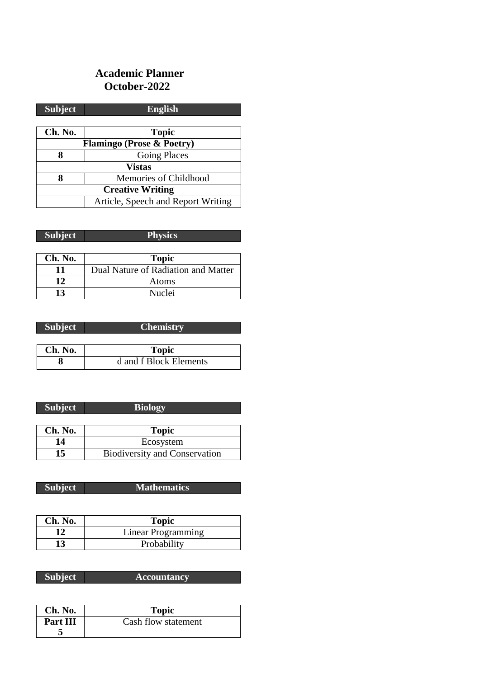### **Academic Planner October-2022**

| <b>Subject</b>                       | <b>English</b>                     |  |
|--------------------------------------|------------------------------------|--|
|                                      |                                    |  |
| Ch. No.                              | <b>Topic</b>                       |  |
| <b>Flamingo (Prose &amp; Poetry)</b> |                                    |  |
| 8                                    | <b>Going Places</b>                |  |
| <b>Vistas</b>                        |                                    |  |
| 8                                    | Memories of Childhood              |  |
| <b>Creative Writing</b>              |                                    |  |
|                                      | Article, Speech and Report Writing |  |

| <b>Subject</b> | <b>Physics</b>                      |
|----------------|-------------------------------------|
|                |                                     |
| Ch. No.        | <b>Topic</b>                        |
| 11             | Dual Nature of Radiation and Matter |
| 12             | Atoms                               |
| 13             | Nuclei                              |

| <b>Subject</b> | <b>Chemistry</b>       |
|----------------|------------------------|
|                |                        |
| Ch. No.        | <b>Topic</b>           |
|                | d and f Block Elements |

| <b>Subject</b> | <b>Biology</b>                       |
|----------------|--------------------------------------|
|                |                                      |
| Ch. No.        | <b>Topic</b>                         |
| 14             | Ecosystem                            |
| 15             | <b>Biodiversity and Conservation</b> |

**Subject Mathematics** 

| Ch. No. | <b>Topic</b>       |
|---------|--------------------|
| 12      | Linear Programming |
| 13      | Probability        |

| <b>Subject</b> |                    |
|----------------|--------------------|
|                | <b>Accountancy</b> |

| Ch. No.  | <b>Topic</b>        |
|----------|---------------------|
| Part III | Cash flow statement |
|          |                     |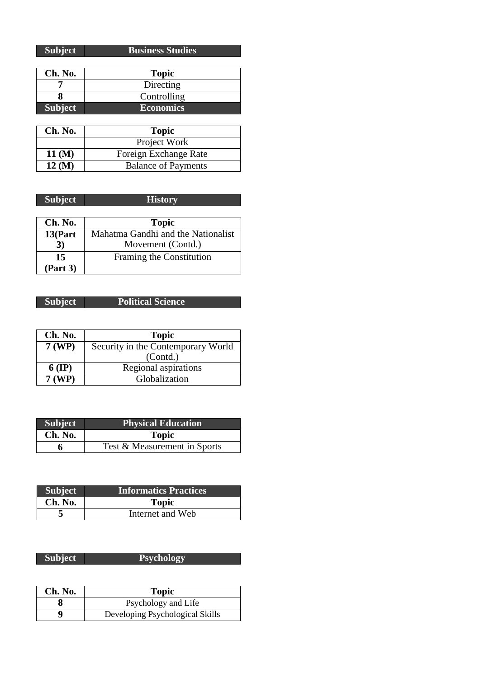| <b>Subject</b> | <b>Business Studies</b> |
|----------------|-------------------------|

| Ch. No.        | <b>Topic</b>     |
|----------------|------------------|
|                | Directing        |
|                | Controlling      |
| <b>Subject</b> | <b>Economics</b> |

| Ch. No.              | <b>Topic</b>               |
|----------------------|----------------------------|
|                      | Project Work               |
| $11 \, (\mathrm{M})$ | Foreign Exchange Rate      |
| $12 \, (\mathrm{M})$ | <b>Balance of Payments</b> |

| <b>Subject</b> | <b>History</b>                     |
|----------------|------------------------------------|
|                |                                    |
| Ch. No.        | <b>Topic</b>                       |
| 13(Part        | Mahatma Gandhi and the Nationalist |
| 3)             | Movement (Contd.)                  |
| 15             | Framing the Constitution           |
| (Part 3)       |                                    |

| <b>Political Science</b> |
|--------------------------|
|                          |

| Ch. No.       | <b>Topic</b>                       |
|---------------|------------------------------------|
| 7 (WP)        | Security in the Contemporary World |
|               | (Contd.)                           |
| $6$ (IP)      | Regional aspirations               |
| <b>7 (WP)</b> | Globalization                      |

| <b>Subject</b> | <b>Physical Education</b>    |
|----------------|------------------------------|
| Ch. No.        | <b>Topic</b>                 |
|                | Test & Measurement in Sports |

| <b>Subject</b> | <b>Informatics Practices</b> |
|----------------|------------------------------|
| Ch. No.        | <b>Topic</b>                 |
|                | Internet and Web             |

| <b>Subject</b> | <b>Psychology</b> |
|----------------|-------------------|
|                |                   |

| Ch. No. | <b>Topic</b>                    |
|---------|---------------------------------|
|         | Psychology and Life             |
| a       | Developing Psychological Skills |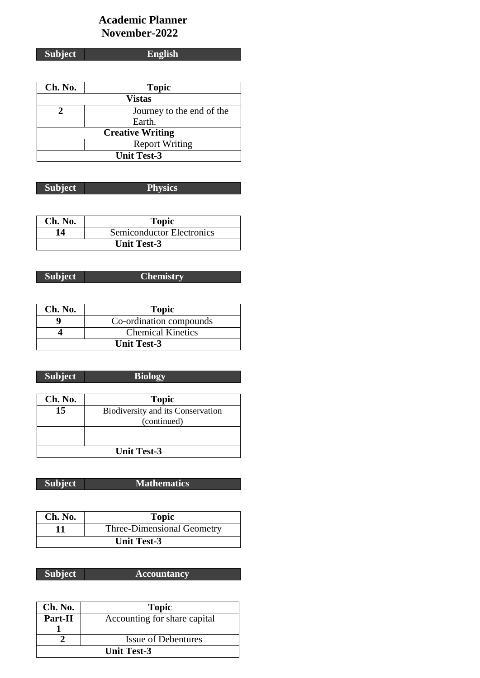### **Academic Planner November-2022**

**Subject English**

| Ch. No.                 | <b>Topic</b>              |
|-------------------------|---------------------------|
|                         | <b>Vistas</b>             |
|                         | Journey to the end of the |
|                         | Earth.                    |
| <b>Creative Writing</b> |                           |
|                         | <b>Report Writing</b>     |
| <b>Unit Test-3</b>      |                           |

| <b>Subject</b> | <b>Physics</b> |
|----------------|----------------|

| Ch. No. | <b>Topic</b>              |
|---------|---------------------------|
| 14      | Semiconductor Electronics |
|         | <b>Unit Test-3</b>        |

**Subject Chemistry**

| Ch. No. | <b>Topic</b>             |
|---------|--------------------------|
|         | Co-ordination compounds  |
|         | <b>Chemical Kinetics</b> |
|         | <b>Unit Test-3</b>       |

| <b>Subject</b> | <b>Biology</b>                    |
|----------------|-----------------------------------|
|                |                                   |
| Ch. No.        | <b>Topic</b>                      |
| 15             | Biodiversity and its Conservation |
|                | (continued)                       |

**Unit Test-3**

### **Subject Mathematics**

| Ch. No. | <b>Topic</b>                      |
|---------|-----------------------------------|
| 11      | <b>Three-Dimensional Geometry</b> |
|         | <b>Unit Test-3</b>                |

| <b>Subject</b> | <b>Accountancy</b> |
|----------------|--------------------|
|                |                    |

| Ch. No. | <b>Topic</b>                 |
|---------|------------------------------|
| Part-II | Accounting for share capital |
|         |                              |
|         | <b>Issue of Debentures</b>   |
|         | <b>Unit Test-3</b>           |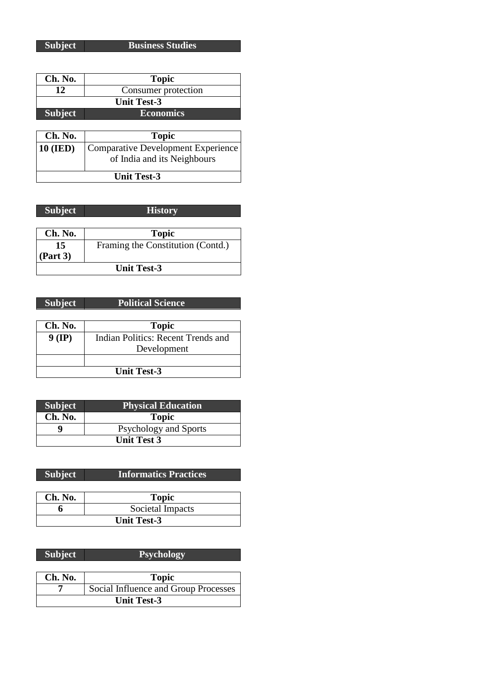**Subject Business Studies**

| Ch. No.            | <b>Topic</b>                              |
|--------------------|-------------------------------------------|
| 12                 | Consumer protection                       |
| <b>Unit Test-3</b> |                                           |
| <b>Subject</b>     | <b>Economics</b>                          |
|                    |                                           |
| Ch. No.            | <b>Topic</b>                              |
| <b>10 (IED)</b>    | <b>Comparative Development Experience</b> |
|                    | of India and its Neighbours               |
|                    |                                           |
| <b>Unit Test-3</b> |                                           |

| <b>Subject</b>     | <b>History</b>                    |  |
|--------------------|-----------------------------------|--|
|                    |                                   |  |
| Ch. No.            | <b>Topic</b>                      |  |
| 15                 | Framing the Constitution (Contd.) |  |
| (Part 3)           |                                   |  |
| <b>Unit Test-3</b> |                                   |  |

| <b>Subject</b>     | <b>Political Science</b>           |
|--------------------|------------------------------------|
|                    |                                    |
| Ch. No.            | <b>Topic</b>                       |
| $9$ (IP)           | Indian Politics: Recent Trends and |
|                    | Development                        |
|                    |                                    |
| <b>Unit Test-3</b> |                                    |

| <b>Subject</b>     | <b>Physical Education</b>    |
|--------------------|------------------------------|
| Ch. No.            | <b>Topic</b>                 |
|                    | <b>Psychology and Sports</b> |
| <b>Unit Test 3</b> |                              |

| <b>Subject</b><br><b>Informatics Practices</b> |
|------------------------------------------------|
|------------------------------------------------|

| Ch. No.            | <b>Topic</b>     |
|--------------------|------------------|
|                    | Societal Impacts |
| <b>Unit Test-3</b> |                  |

| <b>Subject</b>     | <b>Psychology</b>                    |
|--------------------|--------------------------------------|
|                    |                                      |
| Ch. No.            | <b>Topic</b>                         |
|                    | Social Influence and Group Processes |
| <b>Unit Test-3</b> |                                      |